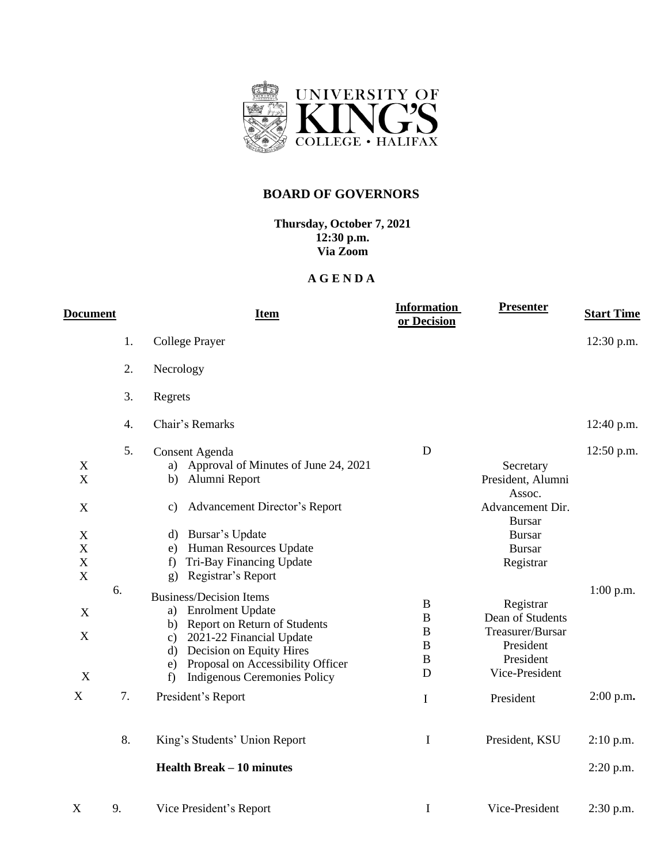

## **BOARD OF GOVERNORS**

**Thursday, October 7, 2021 12:30 p.m. Via Zoom**

## **A G E N D A**

| <b>Document</b>                                                   |          | <b>Item</b>                                                                                                                                                                                                                                                                                                            | <b>Information</b><br>or Decision                                         | <b>Presenter</b>                                                                                                             | <b>Start Time</b>          |
|-------------------------------------------------------------------|----------|------------------------------------------------------------------------------------------------------------------------------------------------------------------------------------------------------------------------------------------------------------------------------------------------------------------------|---------------------------------------------------------------------------|------------------------------------------------------------------------------------------------------------------------------|----------------------------|
|                                                                   | 1.       | College Prayer                                                                                                                                                                                                                                                                                                         |                                                                           |                                                                                                                              | 12:30 p.m.                 |
|                                                                   | 2.       | Necrology                                                                                                                                                                                                                                                                                                              |                                                                           |                                                                                                                              |                            |
|                                                                   | 3.       | Regrets                                                                                                                                                                                                                                                                                                                |                                                                           |                                                                                                                              |                            |
|                                                                   | 4.       | Chair's Remarks                                                                                                                                                                                                                                                                                                        |                                                                           |                                                                                                                              | 12:40 p.m.                 |
| X<br>X<br>X<br>X<br>X<br>X                                        | 5.       | Consent Agenda<br>a) Approval of Minutes of June 24, 2021<br>Alumni Report<br>b)<br>Advancement Director's Report<br>c)<br>Bursar's Update<br>d)<br>Human Resources Update<br>e)<br>Tri-Bay Financing Update<br>f                                                                                                      | $\mathbf D$                                                               | Secretary<br>President, Alumni<br>Assoc.<br>Advancement Dir.<br><b>Bursar</b><br><b>Bursar</b><br><b>Bursar</b><br>Registrar | 12:50 p.m.                 |
| $\boldsymbol{\mathrm{X}}$<br>X<br>$\mathbf X$<br>X<br>$\mathbf X$ | 6.<br>7. | Registrar's Report<br>g)<br><b>Business/Decision Items</b><br>a) Enrolment Update<br>b) Report on Return of Students<br>2021-22 Financial Update<br>$\mathbf{c})$<br>Decision on Equity Hires<br>$\rm d)$<br>Proposal on Accessibility Officer<br>e)<br><b>Indigenous Ceremonies Policy</b><br>f<br>President's Report | $\bf{B}$<br>$\bf{B}$<br>$\bf{B}$<br>$\bf{B}$<br>$\bf{B}$<br>D<br>$\bf{I}$ | Registrar<br>Dean of Students<br>Treasurer/Bursar<br>President<br>President<br>Vice-President<br>President                   | $1:00$ p.m.<br>$2:00$ p.m. |
|                                                                   | 8.       | King's Students' Union Report<br><b>Health Break – 10 minutes</b>                                                                                                                                                                                                                                                      | I                                                                         | President, KSU                                                                                                               | $2:10$ p.m.<br>$2:20$ p.m. |
| X                                                                 | 9.       | Vice President's Report                                                                                                                                                                                                                                                                                                | I                                                                         | Vice-President                                                                                                               | $2:30$ p.m.                |